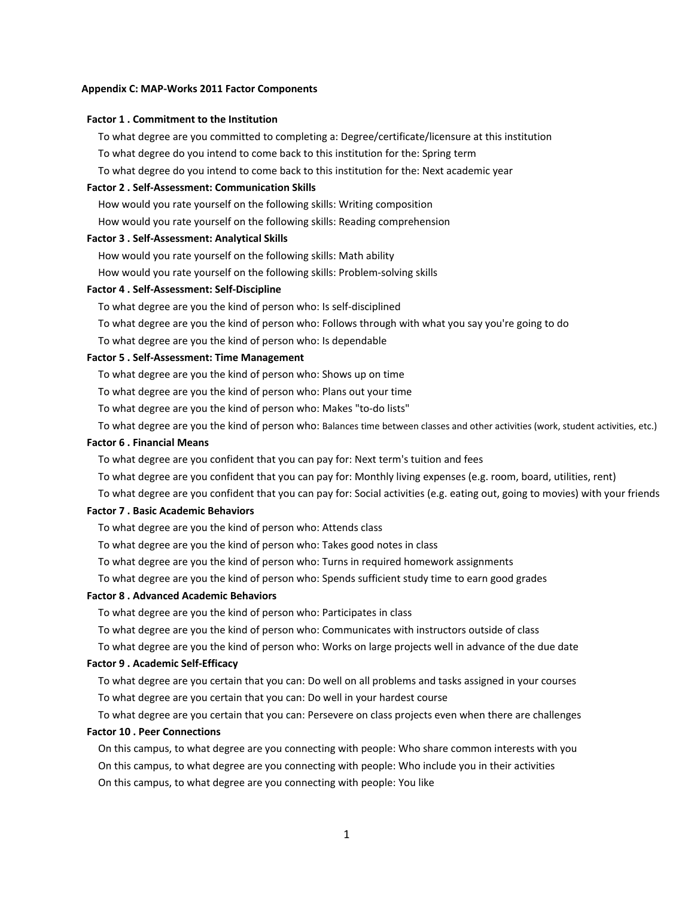#### **Appendix C: MAP‐Works 2011 Factor Components**

#### **Factor 1 . Commitment to the Institution**

To what degree are you committed to completing a: Degree/certificate/licensure at this institution To what degree do you intend to come back to this institution for the: Spring term

To what degree do you intend to come back to this institution for the: Next academic year

# **Factor 2 . Self‐Assessment: Communication Skills**

How would you rate yourself on the following skills: Writing composition

How would you rate yourself on the following skills: Reading comprehension

### **Factor 3 . Self‐Assessment: Analytical Skills**

How would you rate yourself on the following skills: Math ability

How would you rate yourself on the following skills: Problem‐solving skills

#### **Factor 4 . Self‐Assessment: Self‐Discipline**

To what degree are you the kind of person who: Is self‐disciplined

To what degree are you the kind of person who: Follows through with what you say you're going to do

To what degree are you the kind of person who: Is dependable

### **Factor 5 . Self‐Assessment: Time Management**

To what degree are you the kind of person who: Shows up on time

To what degree are you the kind of person who: Plans out your time

To what degree are you the kind of person who: Makes "to‐do lists"

To what degree are you the kind of person who: Balances time between classes and other activities (work, student activities, etc.)

### **Factor 6 . Financial Means**

To what degree are you confident that you can pay for: Next term's tuition and fees

To what degree are you confident that you can pay for: Monthly living expenses (e.g. room, board, utilities, rent)

To what degree are you confident that you can pay for: Social activities (e.g. eating out, going to movies) with your friends

#### **Factor 7 . Basic Academic Behaviors**

To what degree are you the kind of person who: Attends class

To what degree are you the kind of person who: Takes good notes in class

To what degree are you the kind of person who: Turns in required homework assignments

To what degree are you the kind of person who: Spends sufficient study time to earn good grades

### **Factor 8 . Advanced Academic Behaviors**

To what degree are you the kind of person who: Participates in class

To what degree are you the kind of person who: Communicates with instructors outside of class

To what degree are you the kind of person who: Works on large projects well in advance of the due date

#### **Factor 9 . Academic Self‐Efficacy**

To what degree are you certain that you can: Do well on all problems and tasks assigned in your courses To what degree are you certain that you can: Do well in your hardest course

To what degree are you certain that you can: Persevere on class projects even when there are challenges

#### **Factor 10 . Peer Connections**

On this campus, to what degree are you connecting with people: Who share common interests with you On this campus, to what degree are you connecting with people: Who include you in their activities On this campus, to what degree are you connecting with people: You like